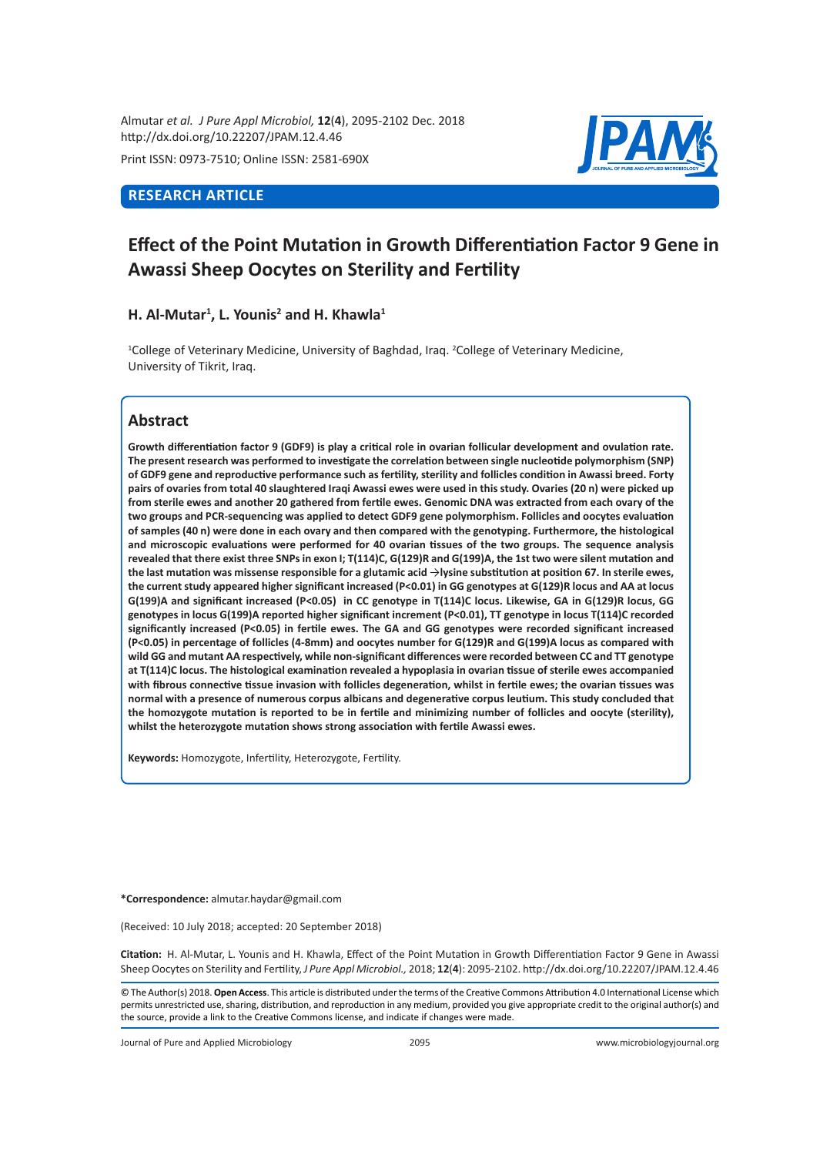Almutar *et al. J Pure Appl Microbiol,* **12**(**4**), 2095-2102 Dec. 2018 http://dx.doi.org/10.22207/JPAM.12.4.46

Print ISSN: 0973-7510; Online ISSN: 2581-690X

### **RESEARCH ARTICLE**



# **Effect of the Point Mutation in Growth Differentiation Factor 9 Gene in Awassi Sheep Oocytes on Sterility and Fertility**

### **H. Al-Mutar<sup>1</sup> , L. Younis<sup>2</sup> and H. Khawla<sup>1</sup>**

<sup>1</sup>College of Veterinary Medicine, University of Baghdad, Iraq. <sup>2</sup>College of Veterinary Medicine, University of Tikrit, Iraq.

## **Abstract**

**Growth differentiation factor 9 (GDF9) is play a critical role in ovarian follicular development and ovulation rate. The present research was performed to investigate the correlation between single nucleotide polymorphism (SNP) of GDF9 gene and reproductive performance such as fertility, sterility and follicles condition in Awassi breed. Forty pairs of ovaries from total 40 slaughtered Iraqi Awassi ewes were used in this study. Ovaries (20 n) were picked up from sterile ewes and another 20 gathered from fertile ewes. Genomic DNA was extracted from each ovary of the two groups and PCR-sequencing was applied to detect GDF9 gene polymorphism. Follicles and oocytes evaluation of samples (40 n) were done in each ovary and then compared with the genotyping. Furthermore, the histological and microscopic evaluations were performed for 40 ovarian tissues of the two groups. The sequence analysis revealed that there exist three SNPs in exon I; T(114)C, G(129)R and G(199)A, the 1st two were silent mutation and the last mutation was missense responsible for a glutamic acid** →**lysine substitution at position 67. In sterile ewes, the current study appeared higher significant increased (P<0.01) in GG genotypes at G(129)R locus and AA at locus G(199)A and significant increased (P<0.05) in CC genotype in T(114)C locus. Likewise, GA in G(129)R locus, GG genotypes in locus G(199)A reported higher significant increment (P<0.01), TT genotype in locus T(114)C recorded significantly increased (P<0.05) in fertile ewes. The GA and GG genotypes were recorded significant increased (P<0.05) in percentage of follicles (4-8mm) and oocytes number for G(129)R and G(199)A locus as compared with wild GG and mutant AA respectively, while non-significant differences were recorded between CC and TT genotype at T(114)C locus. The histological examination revealed a hypoplasia in ovarian tissue of sterile ewes accompanied with fibrous connective tissue invasion with follicles degeneration, whilst in fertile ewes; the ovarian tissues was normal with a presence of numerous corpus albicans and degenerative corpus leutium. This study concluded that the homozygote mutation is reported to be in fertile and minimizing number of follicles and oocyte (sterility), whilst the heterozygote mutation shows strong association with fertile Awassi ewes.**

**Keywords:** Homozygote, Infertility, Heterozygote, Fertility.

**\*Correspondence:** almutar.haydar@gmail.com

(Received: 10 July 2018; accepted: 20 September 2018)

**Citation:**  H. Al-Mutar, L. Younis and H. Khawla, Effect of the Point Mutation in Growth Differentiation Factor 9 Gene in Awassi Sheep Oocytes on Sterility and Fertility, *J Pure Appl Microbiol.,* 2018; **12**(**4**): 2095-2102. http://dx.doi.org/10.22207/JPAM.12.4.46

© The Author(s) 2018. **Open Access**. This article is distributed under the terms of the Creative Commons Attribution 4.0 International License which permits unrestricted use, sharing, distribution, and reproduction in any medium, provided you give appropriate credit to the original author(s) and the source, provide a link to the Creative Commons license, and indicate if changes were made.

Journal of Pure and Applied Microbiology 2095 www.microbiologyjournal.org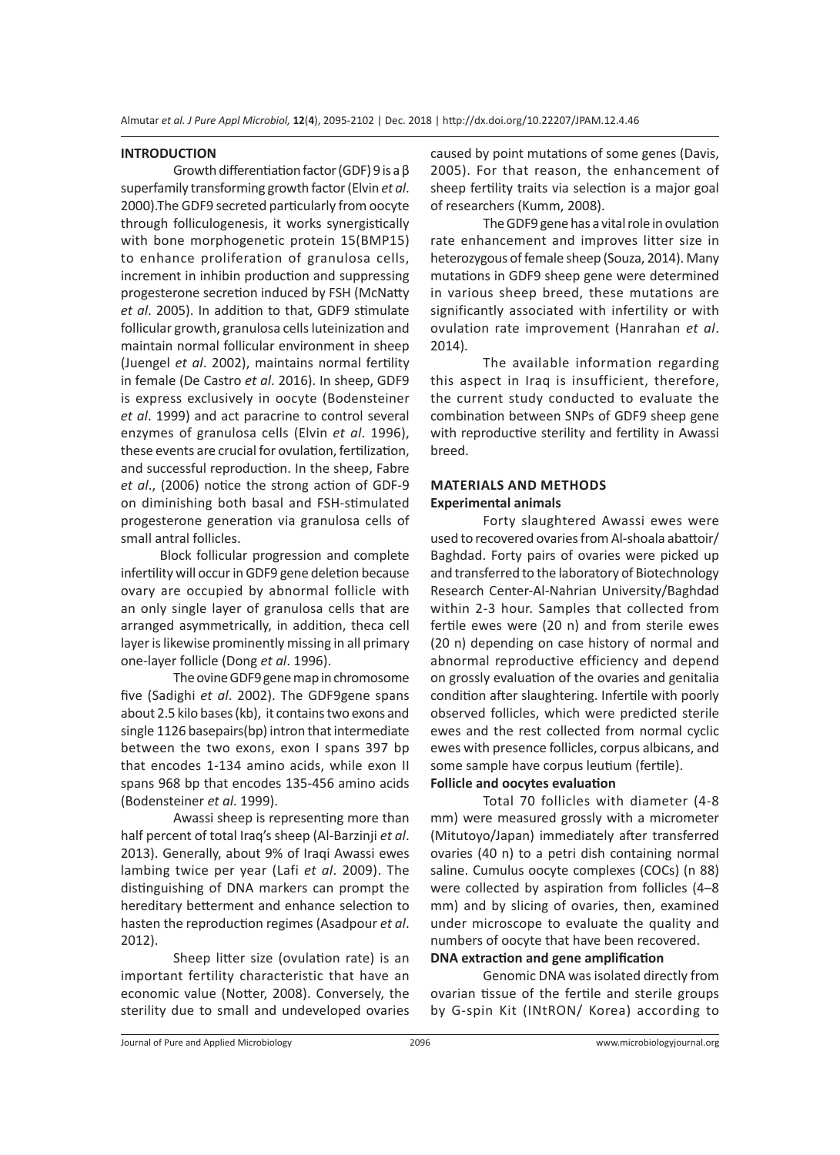#### **INTRODUCTION**

Growth differentiation factor (GDF) 9 is a β superfamily transforming growth factor (Elvin *et al*. 2000).The GDF9 secreted particularly from oocyte through folliculogenesis, it works synergistically with bone morphogenetic protein 15(BMP15) to enhance proliferation of granulosa cells, increment in inhibin production and suppressing progesterone secretion induced by FSH (McNatty *et al*. 2005). In addition to that, GDF9 stimulate follicular growth, granulosa cells luteinization and maintain normal follicular environment in sheep (Juengel *et al*. 2002), maintains normal fertility in female (De Castro *et al*. 2016). In sheep, GDF9 is express exclusively in oocyte (Bodensteiner *et al*. 1999) and act paracrine to control several enzymes of granulosa cells (Elvin *et al*. 1996), these events are crucial for ovulation, fertilization, and successful reproduction. In the sheep, Fabre *et al*., (2006) notice the strong action of GDF-9 on diminishing both basal and FSH-stimulated progesterone generation via granulosa cells of small antral follicles.

 Block follicular progression and complete infertility will occur in GDF9 gene deletion because ovary are occupied by abnormal follicle with an only single layer of granulosa cells that are arranged asymmetrically, in addition, theca cell layer is likewise prominently missing in all primary one-layer follicle (Dong *et al*. 1996).

The ovine GDF9 gene map in chromosome five (Sadighi *et al*. 2002). The GDF9gene spans about 2.5 kilo bases (kb), it contains two exons and single 1126 basepairs(bp) intron that intermediate between the two exons, exon I spans 397 bp that encodes 1-134 amino acids, while exon II spans 968 bp that encodes 135-456 amino acids (Bodensteiner *et al*. 1999).

Awassi sheep is representing more than half percent of total Iraq's sheep (Al-Barzinji *et al*. 2013). Generally, about 9% of Iraqi Awassi ewes lambing twice per year (Lafi *et al*. 2009). The distinguishing of DNA markers can prompt the hereditary betterment and enhance selection to hasten the reproduction regimes (Asadpour *et al*. 2012).

Sheep litter size (ovulation rate) is an important fertility characteristic that have an economic value (Notter, 2008). Conversely, the sterility due to small and undeveloped ovaries caused by point mutations of some genes (Davis, 2005). For that reason, the enhancement of sheep fertility traits via selection is a major goal of researchers (Kumm, 2008).

The GDF9 gene has a vital role in ovulation rate enhancement and improves litter size in heterozygous of female sheep (Souza, 2014). Many mutations in GDF9 sheep gene were determined in various sheep breed, these mutations are significantly associated with infertility or with ovulation rate improvement (Hanrahan *et al*. 2014).

The available information regarding this aspect in Iraq is insufficient, therefore, the current study conducted to evaluate the combination between SNPs of GDF9 sheep gene with reproductive sterility and fertility in Awassi breed.

#### **MATERIALS AND METHODS Experimental animals**

Forty slaughtered Awassi ewes were used to recovered ovaries from Al-shoala abattoir/ Baghdad. Forty pairs of ovaries were picked up and transferred to the laboratory of Biotechnology Research Center-Al-Nahrian University/Baghdad within 2-3 hour. Samples that collected from fertile ewes were (20 n) and from sterile ewes (20 n) depending on case history of normal and abnormal reproductive efficiency and depend on grossly evaluation of the ovaries and genitalia condition after slaughtering. Infertile with poorly observed follicles, which were predicted sterile ewes and the rest collected from normal cyclic ewes with presence follicles, corpus albicans, and some sample have corpus leutium (fertile).

### **Follicle and oocytes evaluation**

Total 70 follicles with diameter (4-8 mm) were measured grossly with a micrometer (Mitutoyo/Japan) immediately after transferred ovaries (40 n) to a petri dish containing normal saline. Cumulus oocyte complexes (COCs) (n 88) were collected by aspiration from follicles (4–8 mm) and by slicing of ovaries, then, examined under microscope to evaluate the quality and numbers of oocyte that have been recovered.

#### **DNA extraction and gene amplification**

Genomic DNA was isolated directly from ovarian tissue of the fertile and sterile groups by G-spin Kit (INtRON/ Korea) according to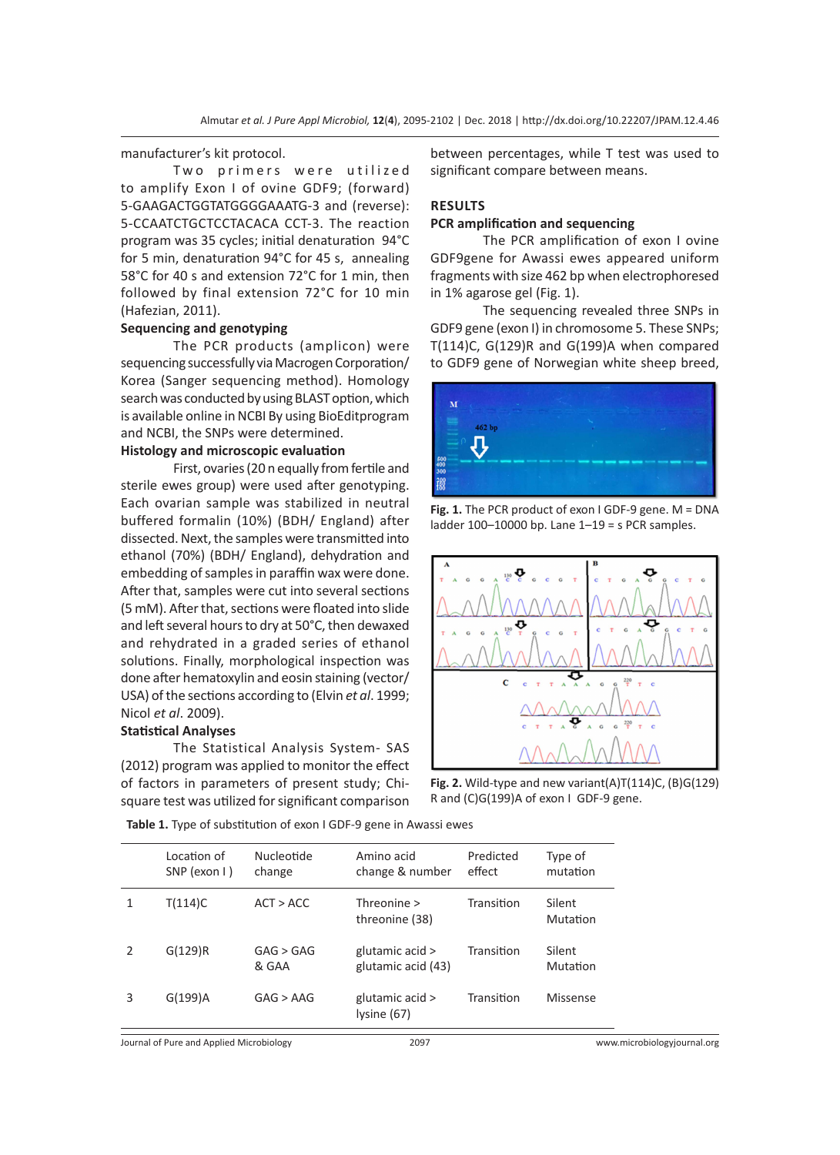manufacturer's kit protocol.

Two primers were utilized to amplify Exon I of ovine GDF9; (forward) 5-GAAGACTGGTATGGGGAAATG-3 and (reverse): 5-CCAATCTGCTCCTACACA CCT-3. The reaction program was 35 cycles; initial denaturation 94°C for 5 min, denaturation 94°C for 45 s, annealing 58°C for 40 s and extension 72°C for 1 min, then followed by final extension 72°C for 10 min (Hafezian, 2011).

#### **Sequencing and genotyping**

The PCR products (amplicon) were sequencing successfully via Macrogen Corporation/ Korea (Sanger sequencing method). Homology search was conducted by using BLAST option, which is available online in NCBI By using BioEditprogram and NCBI, the SNPs were determined.

#### **Histology and microscopic evaluation**

First, ovaries (20 n equally from fertile and sterile ewes group) were used after genotyping. Each ovarian sample was stabilized in neutral buffered formalin (10%) (BDH/ England) after dissected. Next, the samples were transmitted into ethanol (70%) (BDH/ England), dehydration and embedding of samples in paraffin wax were done. After that, samples were cut into several sections (5 mM). After that, sections were floated into slide and left several hours to dry at 50°C, then dewaxed and rehydrated in a graded series of ethanol solutions. Finally, morphological inspection was done after hematoxylin and eosin staining (vector/ USA) of the sections according to (Elvin *et al*. 1999; Nicol *et al*. 2009).

#### **Statistical Analyses**

The Statistical Analysis System- SAS (2012) program was applied to monitor the effect of factors in parameters of present study; Chisquare test was utilized for significant comparison between percentages, while T test was used to significant compare between means.

#### **RESULTS**

#### **PCR amplification and sequencing**

The PCR amplification of exon I ovine GDF9gene for Awassi ewes appeared uniform fragments with size 462 bp when electrophoresed in 1% agarose gel (Fig. 1).

The sequencing revealed three SNPs in GDF9 gene (exon I) in chromosome 5. These SNPs; T(114)C, G(129)R and G(199)A when compared to GDF9 gene of Norwegian white sheep breed,



**Fig. 1.** The PCR product of exon I GDF-9 gene. M = DNA ladder 100–10000 bp. Lane 1–19 = s PCR samples.



**Fig. 2.** Wild-type and new variant(A)T(114)C, (B)G(129) R and (C)G(199)A of exon I GDF-9 gene.

**Table 1.** Type of substitution of exon I GDF-9 gene in Awassi ewes

|   | Location of<br>SNP (exon I) | Nucleotide<br>change | Amino acid<br>change & number         | Predicted<br>effect | Type of<br>mutation       |
|---|-----------------------------|----------------------|---------------------------------------|---------------------|---------------------------|
| 1 | T(114)C                     | ACT > ACC            | Threonine $>$<br>threonine (38)       | Transition          | Silent<br>Mutation        |
|   | G(129)R                     | GAG > GAG<br>& GAA   | glutamic acid ><br>glutamic acid (43) | Transition          | Silent<br><b>Mutation</b> |
| 3 | G(199)A                     | GAG > AAG            | glutamic acid ><br>lysine (67)        | Transition          | Missense                  |

Journal of Pure and Applied Microbiology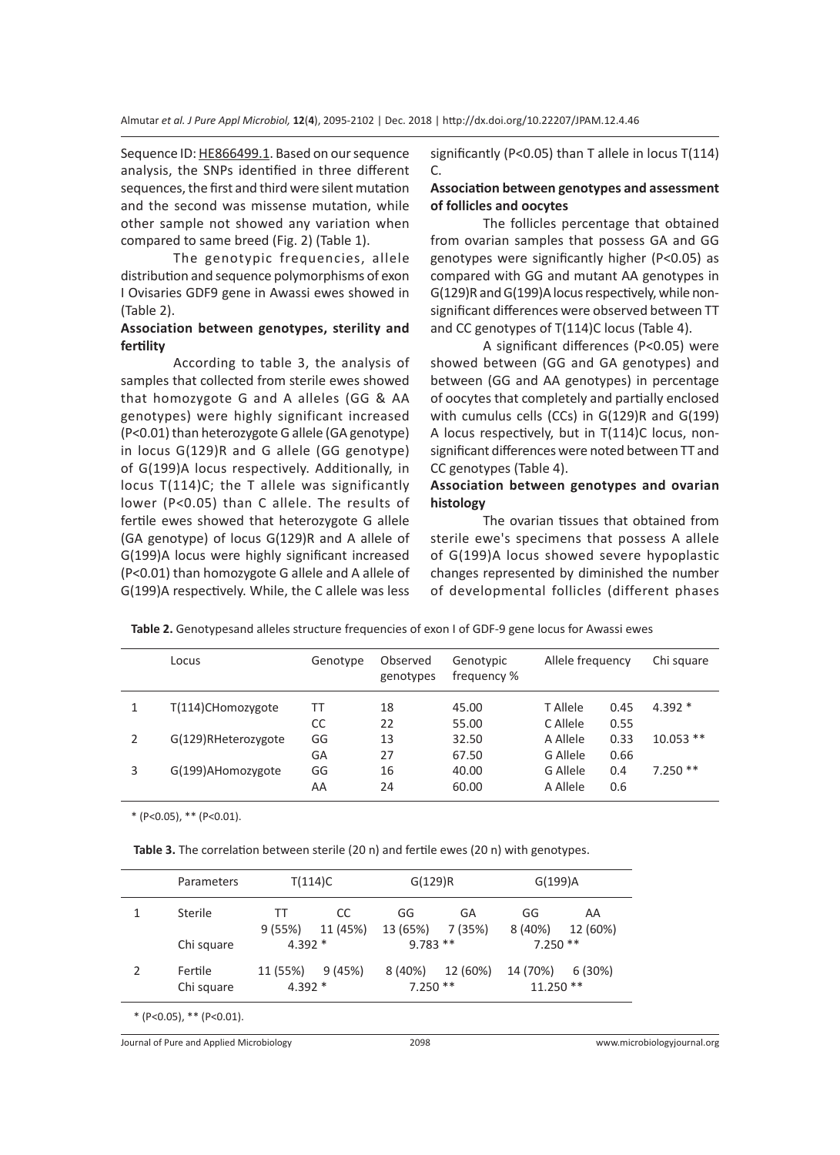Sequence ID: HE866499.1. Based on our sequence analysis, the SNPs identified in three different sequences, the first and third were silent mutation and the second was missense mutation, while other sample not showed any variation when compared to same breed (Fig. 2) (Table 1).

The genotypic frequencies, allele distribution and sequence polymorphisms of exon I Ovisaries GDF9 gene in Awassi ewes showed in (Table 2).

#### **Association between genotypes, sterility and fertility**

According to table 3, the analysis of samples that collected from sterile ewes showed that homozygote G and A alleles (GG & AA genotypes) were highly significant increased (P<0.01) than heterozygote G allele (GA genotype) in locus G(129)R and G allele (GG genotype) of G(199)A locus respectively. Additionally, in locus T(114)C; the T allele was significantly lower (P<0.05) than C allele. The results of fertile ewes showed that heterozygote G allele (GA genotype) of locus G(129)R and A allele of G(199)A locus were highly significant increased (P<0.01) than homozygote G allele and A allele of G(199)A respectively. While, the C allele was less significantly (P<0.05) than T allele in locus T(114)  $\mathcal{C}$ 

#### **Association between genotypes and assessment of follicles and oocytes**

The follicles percentage that obtained from ovarian samples that possess GA and GG genotypes were significantly higher (P<0.05) as compared with GG and mutant AA genotypes in G(129)R and G(199)A locus respectively, while nonsignificant differences were observed between TT and CC genotypes of T(114)C locus (Table 4).

A significant differences (P<0.05) were showed between (GG and GA genotypes) and between (GG and AA genotypes) in percentage of oocytes that completely and partially enclosed with cumulus cells (CCs) in G(129)R and G(199) A locus respectively, but in T(114)C locus, nonsignificant differences were noted between TT and CC genotypes (Table 4).

#### **Association between genotypes and ovarian histology**

The ovarian tissues that obtained from sterile ewe's specimens that possess A allele of G(199)A locus showed severe hypoplastic changes represented by diminished the number of developmental follicles (different phases

| Table 2. OCTIVI POSSITU AIICICS SU UCLUI C ITEQUETICIES VI EXVITT VI ODF-9 REITE IUCUS IUI AWASSI EWES |                     |          |                       |                          |                  |      |             |  |
|--------------------------------------------------------------------------------------------------------|---------------------|----------|-----------------------|--------------------------|------------------|------|-------------|--|
|                                                                                                        | Locus               | Genotype | Observed<br>genotypes | Genotypic<br>frequency % | Allele frequency |      | Chi square  |  |
|                                                                                                        | T(114)CHomozygote   | TT       | 18                    | 45.00                    | T Allele         | 0.45 | $4.392*$    |  |
|                                                                                                        |                     | CC       | 22                    | 55.00                    | C Allele         | 0.55 |             |  |
|                                                                                                        | G(129)RHeterozygote | GG       | 13                    | 32.50                    | A Allele         | 0.33 | $10.053$ ** |  |

3 G(199)AHomozygote GG 16 40.00 G Allele 0.4 7.250 \*\*

GA 27 67.50 G Allele 0.66

AA 24 60.00 A Allele 0.6

**Table 2.** Genotypesand alleles structure frequencies of exon I of GDF-9 gene locus for Awassi ewes

\* (P<0.05), \*\* (P<0.01).

**Table 3.** The correlation between sterile (20 n) and fertile ewes (20 n) with genotypes.

|            | <b>Parameters</b> | T(114)C   |           | G(129)R   |          | G(199)A    |          |
|------------|-------------------|-----------|-----------|-----------|----------|------------|----------|
|            | Sterile           | TТ        | CC        | GG        | GA       | GG         | AA       |
|            |                   | 9(55%)    | 11 (45%)  | 13 (65%)  | 7 (35%)  | 8(40%)     | 12 (60%) |
|            | Chi square        | 4.392 $*$ |           | $9.783**$ |          | $7.250**$  |          |
| 2          | Fertile           | 11 (55%)  | 9 (45%)   | 8 (40%)   | 12 (60%) | 14 (70%)   | 6 (30%)  |
| Chi square |                   | 4.392 $*$ | $7.250**$ |           |          | $11.250**$ |          |

Journal of Pure and Applied Microbiology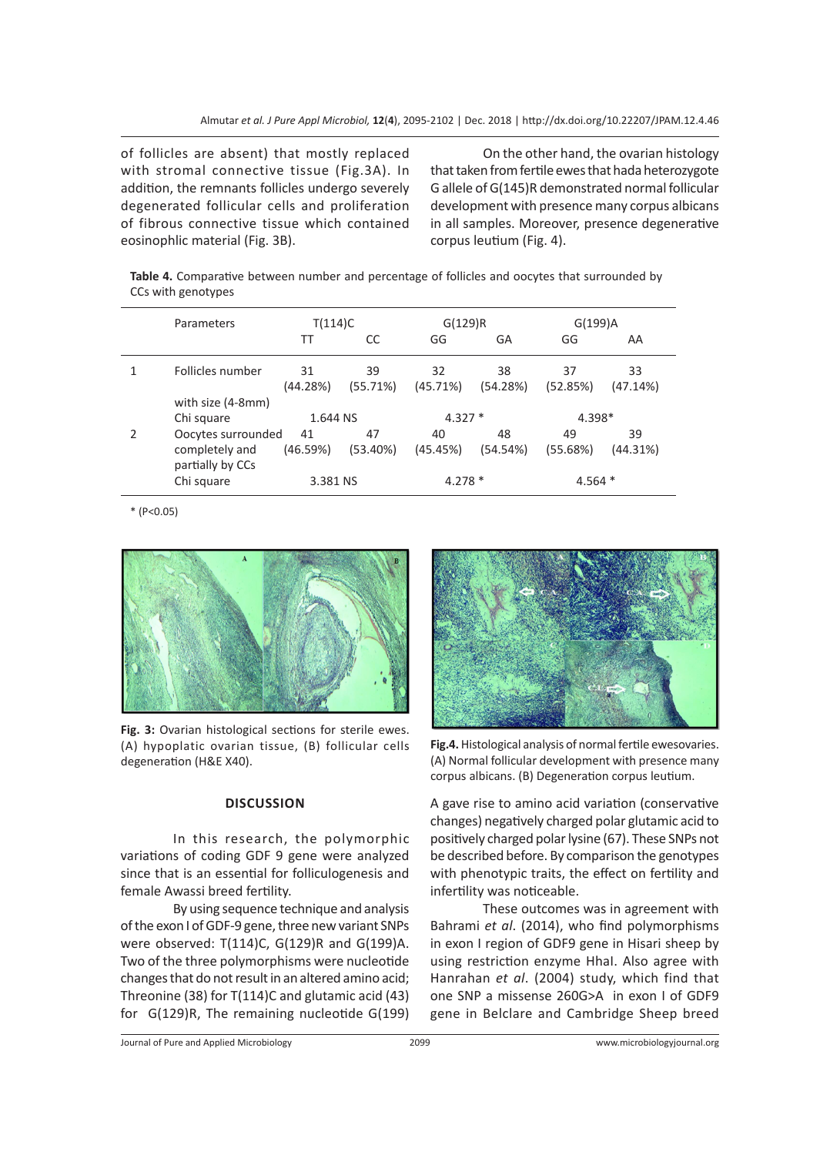of follicles are absent) that mostly replaced with stromal connective tissue (Fig.3A). In addition, the remnants follicles undergo severely degenerated follicular cells and proliferation of fibrous connective tissue which contained eosinophlic material (Fig. 3B).

On the other hand, the ovarian histology that taken from fertile ewes that hada heterozygote G allele of G(145)R demonstrated normal follicular development with presence many corpus albicans in all samples. Moreover, presence degenerative corpus leutium (Fig. 4).

**Table 4.** Comparative between number and percentage of follicles and oocytes that surrounded by CCs with genotypes

|               | Parameters                                               | T(114)C        |                | G(129)R        |                | G(199)A        |                |
|---------------|----------------------------------------------------------|----------------|----------------|----------------|----------------|----------------|----------------|
|               |                                                          | ТT             | CC             | GG             | GA             | GG             | AA             |
|               | Follicles number                                         | 31<br>(44.28%) | 39<br>(55.71%) | 32<br>(45.71%) | 38<br>(54.28%) | 37<br>(52.85%) | 33<br>(47.14%) |
|               | with size (4-8mm)<br>Chi square                          | 1.644 NS       |                | $4.327*$       |                | 4.398*         |                |
| $\mathcal{P}$ | Oocytes surrounded<br>completely and<br>partially by CCs | 41<br>(46.59%) | 47<br>(53.40%) | 40<br>(45.45%) | 48<br>(54.54%) | 49<br>(55.68%) | 39<br>(44.31%) |
|               | Chi square                                               | 3.381 NS       |                | $4.278*$       |                | $4.564*$       |                |

 $*(P<0.05)$ 



**Fig. 3:** Ovarian histological sections for sterile ewes. (A) hypoplatic ovarian tissue, (B) follicular cells degeneration (H&E X40).

#### **DISCUSSION**

In this research, the polymorphic variations of coding GDF 9 gene were analyzed since that is an essential for folliculogenesis and female Awassi breed fertility.

By using sequence technique and analysis of the exon I of GDF-9 gene, three new variant SNPs were observed: T(114)C, G(129)R and G(199)A. Two of the three polymorphisms were nucleotide changes that do not result in an altered amino acid; Threonine (38) for T(114)C and glutamic acid (43) for G(129)R, The remaining nucleotide G(199)



**Fig.4.** Histological analysis of normal fertile ewesovaries. (A) Normal follicular development with presence many corpus albicans. (B) Degeneration corpus leutium.

A gave rise to amino acid variation (conservative changes) negatively charged polar glutamic acid to positively charged polar lysine (67). These SNPs not be described before. By comparison the genotypes with phenotypic traits, the effect on fertility and infertility was noticeable.

These outcomes was in agreement with Bahrami *et al*. (2014), who find polymorphisms in exon I region of GDF9 gene in Hisari sheep by using restriction enzyme HhaI. Also agree with Hanrahan *et al*. (2004) study, which find that one SNP a missense 260G>A in exon I of GDF9 gene in Belclare and Cambridge Sheep breed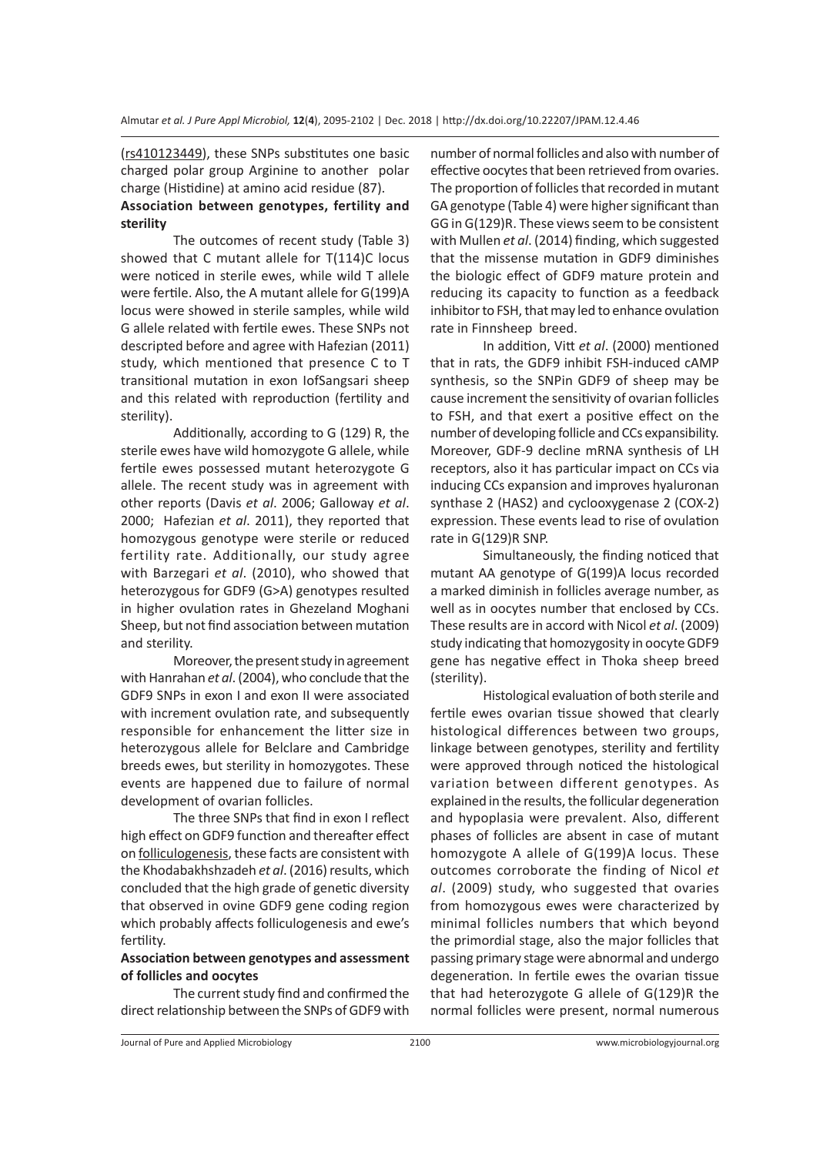(rs410123449), these SNPs substitutes one basic charged polar group Arginine to another polar charge (Histidine) at amino acid residue (87).

# **Association between genotypes, fertility and sterility**

The outcomes of recent study (Table 3) showed that C mutant allele for T(114)C locus were noticed in sterile ewes, while wild T allele were fertile. Also, the A mutant allele for G(199)A locus were showed in sterile samples, while wild G allele related with fertile ewes. These SNPs not descripted before and agree with Hafezian (2011) study, which mentioned that presence C to T transitional mutation in exon IofSangsari sheep and this related with reproduction (fertility and sterility).

Additionally, according to G (129) R, the sterile ewes have wild homozygote G allele, while fertile ewes possessed mutant heterozygote G allele. The recent study was in agreement with other reports (Davis *et al*. 2006; Galloway *et al*. 2000; Hafezian *et al*. 2011), they reported that homozygous genotype were sterile or reduced fertility rate. Additionally, our study agree with Barzegari *et al*. (2010), who showed that heterozygous for GDF9 (G>A) genotypes resulted in higher ovulation rates in Ghezeland Moghani Sheep, but not find association between mutation and sterility.

Moreover, the present study in agreement with Hanrahan *et al*. (2004), who conclude that the GDF9 SNPs in exon I and exon II were associated with increment ovulation rate, and subsequently responsible for enhancement the litter size in heterozygous allele for Belclare and Cambridge breeds ewes, but sterility in homozygotes. These events are happened due to failure of normal development of ovarian follicles.

The three SNPs that find in exon I reflect high effect on GDF9 function and thereafter effect on folliculogenesis, these facts are consistent with the Khodabakhshzadeh *et al*. (2016) results, which concluded that the high grade of genetic diversity that observed in ovine GDF9 gene coding region which probably affects folliculogenesis and ewe's fertility.

#### **Association between genotypes and assessment of follicles and oocytes**

The current study find and confirmed the direct relationship between the SNPs of GDF9 with number of normal follicles and also with number of effective oocytes that been retrieved from ovaries. The proportion of follicles that recorded in mutant GA genotype (Table 4) were higher significant than GG in G(129)R. These views seem to be consistent with Mullen *et al*. (2014) finding, which suggested that the missense mutation in GDF9 diminishes the biologic effect of GDF9 mature protein and reducing its capacity to function as a feedback inhibitor to FSH, that may led to enhance ovulation rate in Finnsheep breed.

In addition, Vitt *et al*. (2000) mentioned that in rats, the GDF9 inhibit FSH-induced cAMP synthesis, so the SNPin GDF9 of sheep may be cause increment the sensitivity of ovarian follicles to FSH, and that exert a positive effect on the number of developing follicle and CCs expansibility. Moreover, GDF-9 decline mRNA synthesis of LH receptors, also it has particular impact on CCs via inducing CCs expansion and improves hyaluronan synthase 2 (HAS2) and cyclooxygenase 2 (COX-2) expression. These events lead to rise of ovulation rate in G(129)R SNP.

Simultaneously, the finding noticed that mutant AA genotype of G(199)A locus recorded a marked diminish in follicles average number, as well as in oocytes number that enclosed by CCs. These results are in accord with Nicol *et al*. (2009) study indicating that homozygosity in oocyte GDF9 gene has negative effect in Thoka sheep breed (sterility).

Histological evaluation of both sterile and fertile ewes ovarian tissue showed that clearly histological differences between two groups, linkage between genotypes, sterility and fertility were approved through noticed the histological variation between different genotypes. As explained in the results, the follicular degeneration and hypoplasia were prevalent. Also, different phases of follicles are absent in case of mutant homozygote A allele of G(199)A locus. These outcomes corroborate the finding of Nicol *et al*. (2009) study, who suggested that ovaries from homozygous ewes were characterized by minimal follicles numbers that which beyond the primordial stage, also the major follicles that passing primary stage were abnormal and undergo degeneration. In fertile ewes the ovarian tissue that had heterozygote G allele of G(129)R the normal follicles were present, normal numerous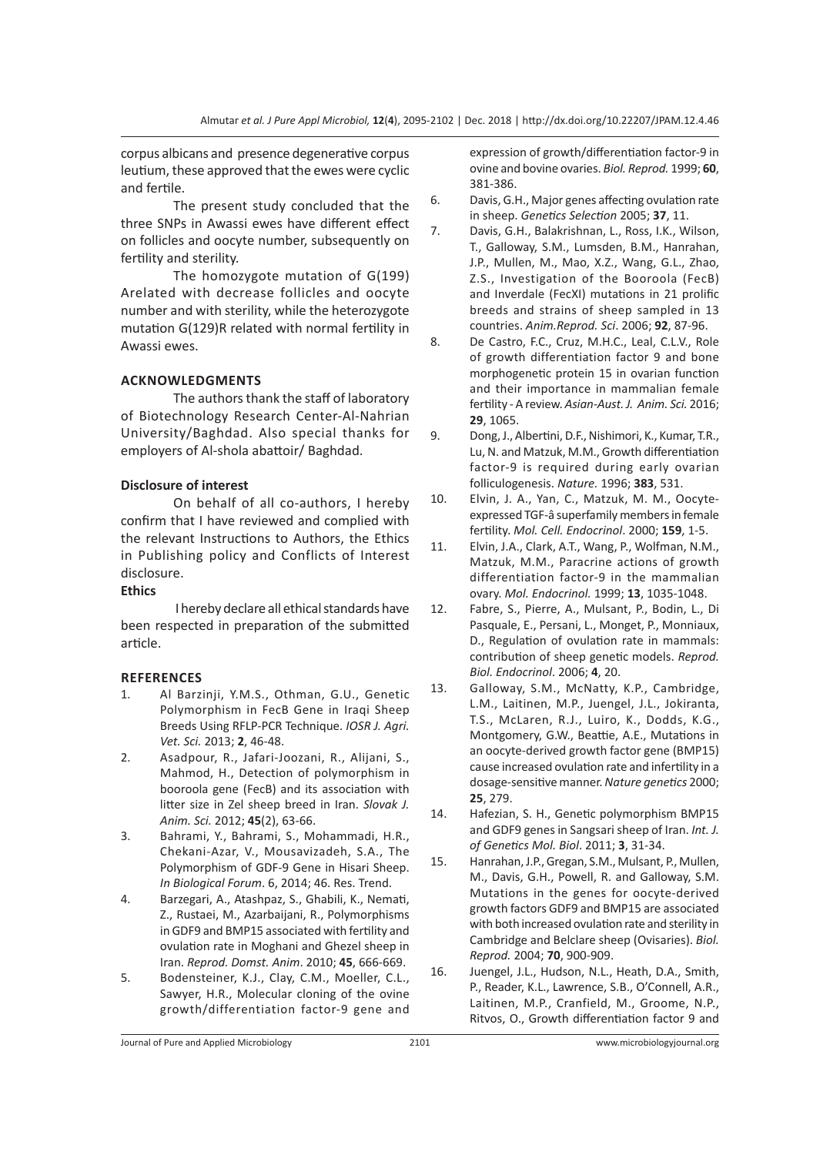corpus albicans and presence degenerative corpus leutium, these approved that the ewes were cyclic and fertile.

The present study concluded that the three SNPs in Awassi ewes have different effect on follicles and oocyte number, subsequently on fertility and sterility.

The homozygote mutation of G(199) Arelated with decrease follicles and oocyte number and with sterility, while the heterozygote mutation G(129)R related with normal fertility in Awassi ewes.

### **ACKNOWLEDGMENTS**

The authors thank the staff of laboratory of Biotechnology Research Center-Al-Nahrian University/Baghdad. Also special thanks for employers of Al-shola abattoir/ Baghdad.

### **Disclosure of interest**

On behalf of all co-authors, I hereby confirm that I have reviewed and complied with the relevant Instructions to Authors, the Ethics in Publishing policy and Conflicts of Interest disclosure.

#### **Ethics**

 I hereby declare all ethical standards have been respected in preparation of the submitted article.

#### **REFERENCES**

- 1. Al Barzinji, Y.M.S., Othman, G.U., Genetic Polymorphism in FecB Gene in Iraqi Sheep Breeds Using RFLP-PCR Technique. *IOSR J. Agri. Vet. Sci.* 2013; **2**, 46-48.
- 2. Asadpour, R., Jafari-Joozani, R., Alijani, S., Mahmod, H., Detection of polymorphism in booroola gene (FecB) and its association with litter size in Zel sheep breed in Iran. *Slovak J. Anim. Sci.* 2012; **45**(2), 63-66.
- 3. Bahrami, Y., Bahrami, S., Mohammadi, H.R., Chekani-Azar, V., Mousavizadeh, S.A., The Polymorphism of GDF-9 Gene in Hisari Sheep. *In Biological Forum*. 6, 2014; 46. Res. Trend.
- 4. Barzegari, A., Atashpaz, S., Ghabili, K., Nemati, Z., Rustaei, M., Azarbaijani, R., Polymorphisms in GDF9 and BMP15 associated with fertility and ovulation rate in Moghani and Ghezel sheep in Iran. *Reprod. Domst. Anim*. 2010; **45**, 666-669.
- 5. Bodensteiner, K.J., Clay, C.M., Moeller, C.L., Sawyer, H.R., Molecular cloning of the ovine growth/differentiation factor-9 gene and

expression of growth/differentiation factor-9 in ovine and bovine ovaries. *Biol. Reprod.* 1999; **60**, 381-386.

- 6. Davis, G.H., Major genes affecting ovulation rate in sheep. *Genetics Selection* 2005; **37**, 11.
- 7. Davis, G.H., Balakrishnan, L., Ross, I.K., Wilson, T., Galloway, S.M., Lumsden, B.M., Hanrahan, J.P., Mullen, M., Mao, X.Z., Wang, G.L., Zhao, Z.S., Investigation of the Booroola (FecB) and Inverdale (FecXI) mutations in 21 prolific breeds and strains of sheep sampled in 13 countries. *Anim.Reprod. Sci*. 2006; **92**, 87-96.
- 8. De Castro, F.C., Cruz, M.H.C., Leal, C.L.V., Role of growth differentiation factor 9 and bone morphogenetic protein 15 in ovarian function and their importance in mammalian female fertility - A review. *Asian-Aust. J. Anim. Sci.* 2016; **29**, 1065.
- 9. Dong, J., Albertini, D.F., Nishimori, K., Kumar, T.R., Lu, N. and Matzuk, M.M., Growth differentiation factor-9 is required during early ovarian folliculogenesis. *Nature.* 1996; **383**, 531.
- 10. Elvin, J. A., Yan, C., Matzuk, M. M., Oocyteexpressed TGF-â superfamily members in female fertility. *Mol. Cell. Endocrinol*. 2000; **159**, 1-5.
- 11. Elvin, J.A., Clark, A.T., Wang, P., Wolfman, N.M., Matzuk, M.M., Paracrine actions of growth differentiation factor-9 in the mammalian ovary. *Mol. Endocrinol.* 1999; **13**, 1035-1048.
- 12. Fabre, S., Pierre, A., Mulsant, P., Bodin, L., Di Pasquale, E., Persani, L., Monget, P., Monniaux, D., Regulation of ovulation rate in mammals: contribution of sheep genetic models. *Reprod. Biol. Endocrinol*. 2006; **4**, 20.
- 13. Galloway, S.M., McNatty, K.P., Cambridge, L.M., Laitinen, M.P., Juengel, J.L., Jokiranta, T.S., McLaren, R.J., Luiro, K., Dodds, K.G., Montgomery, G.W., Beattie, A.E., Mutations in an oocyte-derived growth factor gene (BMP15) cause increased ovulation rate and infertility in a dosage-sensitive manner.*Nature genetics* 2000; **25**, 279.
- 14. Hafezian, S. H., Genetic polymorphism BMP15 and GDF9 genes in Sangsari sheep of Iran. *Int. J. of Genetics Mol. Biol*. 2011; **3**, 31-34.
- 15. Hanrahan, J.P., Gregan, S.M., Mulsant, P., Mullen, M., Davis, G.H., Powell, R. and Galloway, S.M. Mutations in the genes for oocyte-derived growth factors GDF9 and BMP15 are associated with both increased ovulation rate and sterility in Cambridge and Belclare sheep (Ovisaries). *Biol. Reprod.* 2004; **70**, 900-909.
- 16. Juengel, J.L., Hudson, N.L., Heath, D.A., Smith, P., Reader, K.L., Lawrence, S.B., O'Connell, A.R., Laitinen, M.P., Cranfield, M., Groome, N.P., Ritvos, O., Growth differentiation factor 9 and